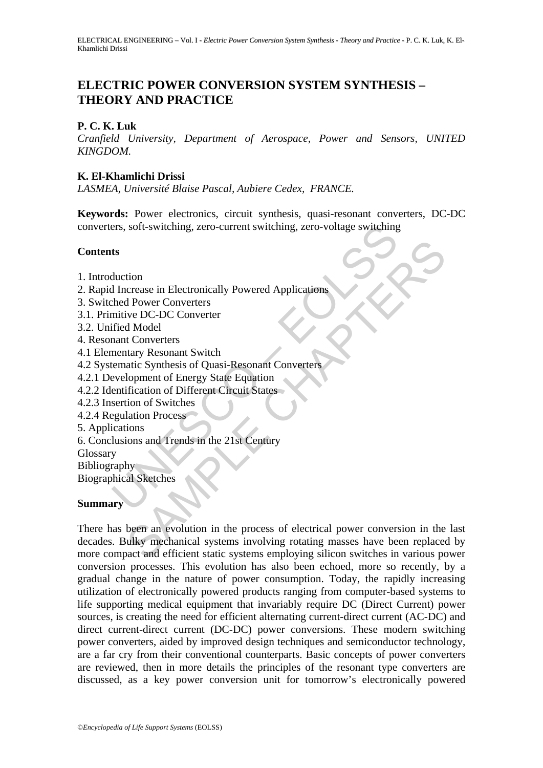# **ELECTRIC POWER CONVERSION SYSTEM SYNTHESIS – THEORY AND PRACTICE**

## **P. C. K. Luk**

*Cranfield University, Department of Aerospace, Power and Sensors, UNITED KINGDOM.* 

## **K. El-Khamlichi Drissi**

*LASMEA, Université Blaise Pascal, Aubiere Cedex, FRANCE.* 

rest and the alternative of the alternative order of the alternative DC-DC Converters<br>
that duction<br>
Increase in Electronically Powered Applications<br>
hed Power Converters<br>
mitive DC-DC Converter<br>
mant Converters<br>
mentary R **Keywords:** Power electronics, circuit synthesis, quasi-resonant converters, DC-DC converters, soft-switching, zero-current switching, zero-voltage switching

## **Contents**

- 1. Introduction
- 2. Rapid Increase in Electronically Powered Applications
- 3. Switched Power Converters
- 3.1. Primitive DC-DC Converter
- 3.2. Unified Model
- 4. Resonant Converters
- 4.1 Elementary Resonant Switch
- 4.2 Systematic Synthesis of Quasi-Resonant Converters
- 4.2.1 Development of Energy State Equation
- 4.2.2 Identification of Different Circuit States
- 4.2.3 Insertion of Switches
- 4.2.4 Regulation Process
- 5. Applications
- 6. Conclusions and Trends in the 21st Century
- Glossary
- **Bibliography**
- Biographical Sketches

## **Summary**

The metrodal of the process in Electronically Powered Applications<br>
Shower Converters<br>
The Chapter Converters<br>
Nodel<br>
Shower Converters<br>
Shows and Switch<br>
Shows and Shows Solar Equation<br>
Shows and Tending State Equation<br>
S There has been an evolution in the process of electrical power conversion in the last decades. Bulky mechanical systems involving rotating masses have been replaced by more compact and efficient static systems employing silicon switches in various power conversion processes. This evolution has also been echoed, more so recently, by a gradual change in the nature of power consumption. Today, the rapidly increasing utilization of electronically powered products ranging from computer-based systems to life supporting medical equipment that invariably require DC (Direct Current) power sources, is creating the need for efficient alternating current-direct current (AC-DC) and direct current-direct current (DC-DC) power conversions. These modern switching power converters, aided by improved design techniques and semiconductor technology, are a far cry from their conventional counterparts. Basic concepts of power converters are reviewed, then in more details the principles of the resonant type converters are discussed, as a key power conversion unit for tomorrow's electronically powered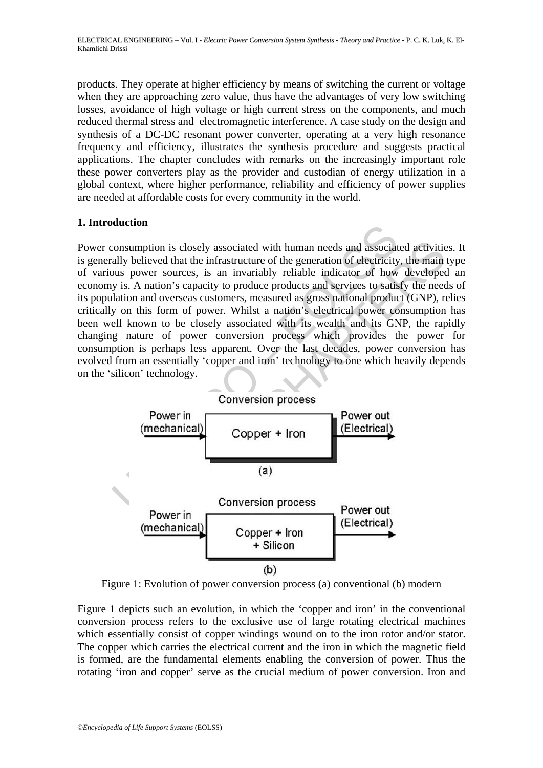products. They operate at higher efficiency by means of switching the current or voltage when they are approaching zero value, thus have the advantages of very low switching losses, avoidance of high voltage or high current stress on the components, and much reduced thermal stress and electromagnetic interference. A case study on the design and synthesis of a DC-DC resonant power converter, operating at a very high resonance frequency and efficiency, illustrates the synthesis procedure and suggests practical applications. The chapter concludes with remarks on the increasingly important role these power converters play as the provider and custodian of energy utilization in a global context, where higher performance, reliability and efficiency of power supplies are needed at affordable costs for every community in the world.

## **1. Introduction**

France Conversion<br>
Conversion (a)<br>
Conversion process and a stronghly believed that the infrastructure of the generation of electricity<br>
buy is. A nation's capacity to produce products and services to satisfy<br>
buy is. A na Power consumption is closely associated with human needs and associated activities. It is generally believed that the infrastructure of the generation of electricity, the main type of various power sources, is an invariably reliable indicator of how developed an economy is. A nation's capacity to produce products and services to satisfy the needs of its population and overseas customers, measured as gross national product (GNP), relies critically on this form of power. Whilst a nation's electrical power consumption has been well known to be closely associated with its wealth and its GNP, the rapidly changing nature of power conversion process which provides the power for consumption is perhaps less apparent. Over the last decades, power conversion has evolved from an essentially 'copper and iron' technology to one which heavily depends on the 'silicon' technology.



Figure 1: Evolution of power conversion process (a) conventional (b) modern

Figure 1 depicts such an evolution, in which the 'copper and iron' in the conventional conversion process refers to the exclusive use of large rotating electrical machines which essentially consist of copper windings wound on to the iron rotor and/or stator. The copper which carries the electrical current and the iron in which the magnetic field is formed, are the fundamental elements enabling the conversion of power. Thus the rotating 'iron and copper' serve as the crucial medium of power conversion. Iron and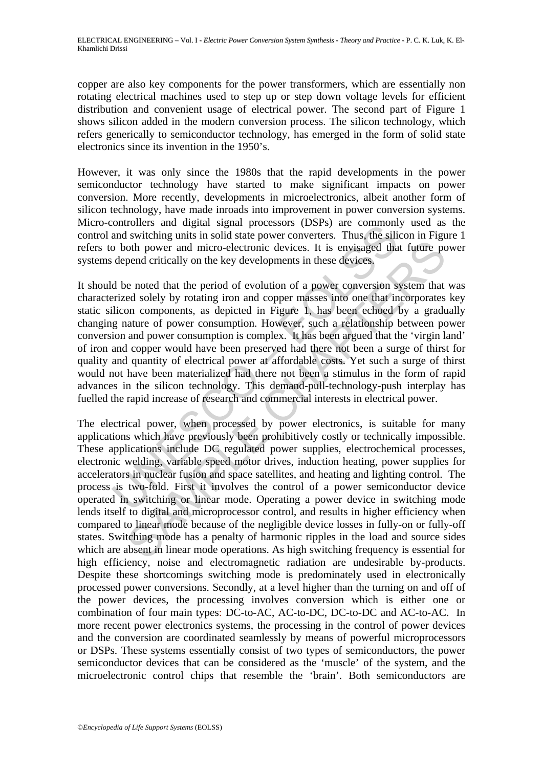copper are also key components for the power transformers, which are essentially non rotating electrical machines used to step up or step down voltage levels for efficient distribution and convenient usage of electrical power. The second part of Figure 1 shows silicon added in the modern conversion process. The silicon technology, which refers generically to semiconductor technology, has emerged in the form of solid state electronics since its invention in the 1950's.

However, it was only since the 1980s that the rapid developments in the power semiconductor technology have started to make significant impacts on power conversion. More recently, developments in microelectronics, albeit another form of silicon technology, have made inroads into improvement in power conversion systems. Micro-controllers and digital signal processors (DSPs) are commonly used as the control and switching units in solid state power converters. Thus, the silicon in Figure 1 refers to both power and micro-electronic devices. It is envisaged that future power systems depend critically on the key developments in these devices.

continuers and ugrad in stiplar encostics (DSFs) are common<br>and switching units in solid state power converters. Thus, the sili<br>and switching units in solid state power converters. Thus, the sili<br>ob both power and micro-el It should be noted that the period of evolution of a power conversion system that was characterized solely by rotating iron and copper masses into one that incorporates key static silicon components, as depicted in Figure 1, has been echoed by a gradually changing nature of power consumption. However, such a relationship between power conversion and power consumption is complex. It has been argued that the 'virgin land' of iron and copper would have been preserved had there not been a surge of thirst for quality and quantity of electrical power at affordable costs. Yet such a surge of thirst would not have been materialized had there not been a stimulus in the form of rapid advances in the silicon technology. This demand-pull-technology-push interplay has fuelled the rapid increase of research and commercial interests in electrical power.

of power and micro-electronic devices. It is envisaged that future point of the power and micro-electronic devices. It is envisaged that future point of experience devices. It is envisaged that future point of experience a The electrical power, when processed by power electronics, is suitable for many applications which have previously been prohibitively costly or technically impossible. These applications include DC regulated power supplies, electrochemical processes, electronic welding, variable speed motor drives, induction heating, power supplies for accelerators in nuclear fusion and space satellites, and heating and lighting control. The process is two-fold. First it involves the control of a power semiconductor device operated in switching or linear mode. Operating a power device in switching mode lends itself to digital and microprocessor control, and results in higher efficiency when compared to linear mode because of the negligible device losses in fully-on or fully-off states. Switching mode has a penalty of harmonic ripples in the load and source sides which are absent in linear mode operations. As high switching frequency is essential for high efficiency, noise and electromagnetic radiation are undesirable by-products. Despite these shortcomings switching mode is predominately used in electronically processed power conversions. Secondly, at a level higher than the turning on and off of the power devices, the processing involves conversion which is either one or combination of four main types: DC-to-AC, AC-to-DC, DC-to-DC and AC-to-AC. In more recent power electronics systems, the processing in the control of power devices and the conversion are coordinated seamlessly by means of powerful microprocessors or DSPs. These systems essentially consist of two types of semiconductors, the power semiconductor devices that can be considered as the 'muscle' of the system, and the microelectronic control chips that resemble the 'brain'. Both semiconductors are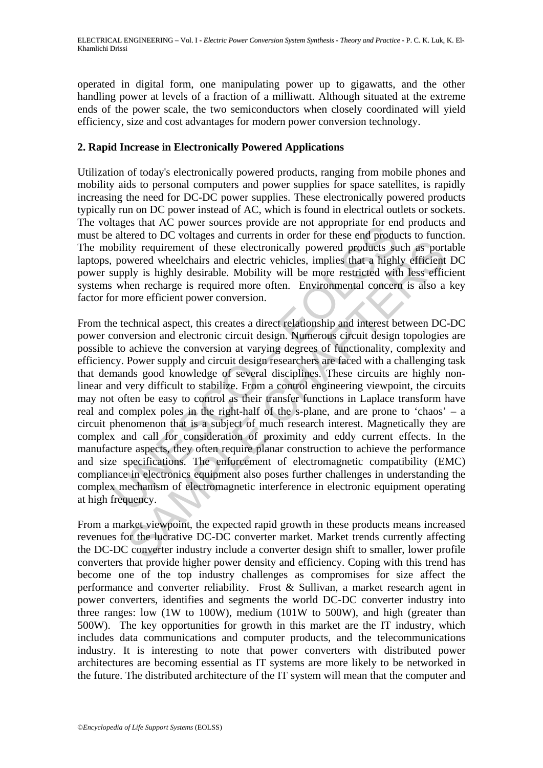operated in digital form, one manipulating power up to gigawatts, and the other handling power at levels of a fraction of a milliwatt. Although situated at the extreme ends of the power scale, the two semiconductors when closely coordinated will yield efficiency, size and cost advantages for modern power conversion technology.

## **2. Rapid Increase in Electronically Powered Applications**

Utilization of today's electronically powered products, ranging from mobile phones and mobility aids to personal computers and power supplies for space satellites, is rapidly increasing the need for DC-DC power supplies. These electronically powered products typically run on DC power instead of AC, which is found in electrical outlets or sockets. The voltages that AC power sources provide are not appropriate for end products and must be altered to DC voltages and currents in order for these end products to function. The mobility requirement of these electronically powered products such as portable laptops, powered wheelchairs and electric vehicles, implies that a highly efficient DC power supply is highly desirable. Mobility will be more restricted with less efficient systems when recharge is required more often. Environmental concern is also a key factor for more efficient power conversion.

alaxes und AC power sources provue are not appropriate for ein<br>a altered to DC voltages and currents in order for these end products su<br>powered wheelchairs and electric vehicles, implies that a highl<br>bility requirement of ity requirement of these electronically powered products such as portwered wheelchairs and electric vehicles, implies that a highly efficient by is highly desirable. Mobility will be more restricted with less efficient the From the technical aspect, this creates a direct relationship and interest between DC-DC power conversion and electronic circuit design. Numerous circuit design topologies are possible to achieve the conversion at varying degrees of functionality, complexity and efficiency. Power supply and circuit design researchers are faced with a challenging task that demands good knowledge of several disciplines. These circuits are highly nonlinear and very difficult to stabilize. From a control engineering viewpoint, the circuits may not often be easy to control as their transfer functions in Laplace transform have real and complex poles in the right-half of the s-plane, and are prone to 'chaos' – a circuit phenomenon that is a subject of much research interest. Magnetically they are complex and call for consideration of proximity and eddy current effects. In the manufacture aspects, they often require planar construction to achieve the performance and size specifications. The enforcement of electromagnetic compatibility (EMC) compliance in electronics equipment also poses further challenges in understanding the complex mechanism of electromagnetic interference in electronic equipment operating at high frequency.

From a market viewpoint, the expected rapid growth in these products means increased revenues for the lucrative DC-DC converter market. Market trends currently affecting the DC-DC converter industry include a converter design shift to smaller, lower profile converters that provide higher power density and efficiency. Coping with this trend has become one of the top industry challenges as compromises for size affect the performance and converter reliability. Frost & Sullivan, a market research agent in power converters, identifies and segments the world DC-DC converter industry into three ranges: low (1W to 100W), medium (101W to 500W), and high (greater than 500W). The key opportunities for growth in this market are the IT industry, which includes data communications and computer products, and the telecommunications industry. It is interesting to note that power converters with distributed power architectures are becoming essential as IT systems are more likely to be networked in the future. The distributed architecture of the IT system will mean that the computer and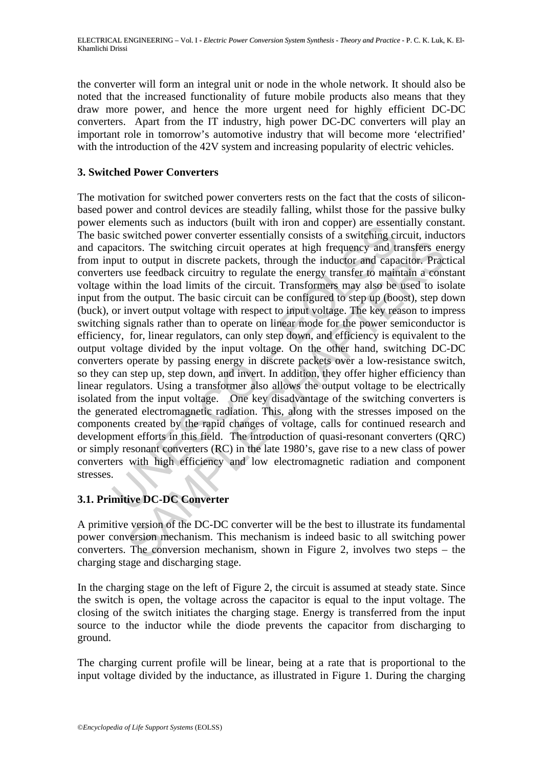the converter will form an integral unit or node in the whole network. It should also be noted that the increased functionality of future mobile products also means that they draw more power, and hence the more urgent need for highly efficient DC-DC converters. Apart from the IT industry, high power DC-DC converters will play an important role in tomorrow's automotive industry that will become more 'electrified' with the introduction of the 42V system and increasing popularity of electric vehicles.

## **3. Switched Power Converters**

elements such as inductions (but will not an coppler) are essentially consists of a switching circle.<br>I.e. switched power converter essentially consists of a switching cine<br>directions. The switching circuit operates at hig tors. The switching circuit operates at high frequency and transfers en to output in discrete packets, through the inductor and capacitor. Praction the load limits of the circuit. Transformers may also be used to iso the o The motivation for switched power converters rests on the fact that the costs of siliconbased power and control devices are steadily falling, whilst those for the passive bulky power elements such as inductors (built with iron and copper) are essentially constant. The basic switched power converter essentially consists of a switching circuit, inductors and capacitors. The switching circuit operates at high frequency and transfers energy from input to output in discrete packets, through the inductor and capacitor. Practical converters use feedback circuitry to regulate the energy transfer to maintain a constant voltage within the load limits of the circuit. Transformers may also be used to isolate input from the output. The basic circuit can be configured to step up (boost), step down (buck), or invert output voltage with respect to input voltage. The key reason to impress switching signals rather than to operate on linear mode for the power semiconductor is efficiency, for, linear regulators, can only step down, and efficiency is equivalent to the output voltage divided by the input voltage. On the other hand, switching DC-DC converters operate by passing energy in discrete packets over a low-resistance switch, so they can step up, step down, and invert. In addition, they offer higher efficiency than linear regulators. Using a transformer also allows the output voltage to be electrically isolated from the input voltage. One key disadvantage of the switching converters is the generated electromagnetic radiation. This, along with the stresses imposed on the components created by the rapid changes of voltage, calls for continued research and development efforts in this field. The introduction of quasi-resonant converters (QRC) or simply resonant converters (RC) in the late 1980's, gave rise to a new class of power converters with high efficiency and low electromagnetic radiation and component stresses.

## **3.1. Primitive DC-DC Converter**

A primitive version of the DC-DC converter will be the best to illustrate its fundamental power conversion mechanism. This mechanism is indeed basic to all switching power converters. The conversion mechanism, shown in Figure 2, involves two steps – the charging stage and discharging stage.

In the charging stage on the left of Figure 2, the circuit is assumed at steady state. Since the switch is open, the voltage across the capacitor is equal to the input voltage. The closing of the switch initiates the charging stage. Energy is transferred from the input source to the inductor while the diode prevents the capacitor from discharging to ground.

The charging current profile will be linear, being at a rate that is proportional to the input voltage divided by the inductance, as illustrated in Figure 1. During the charging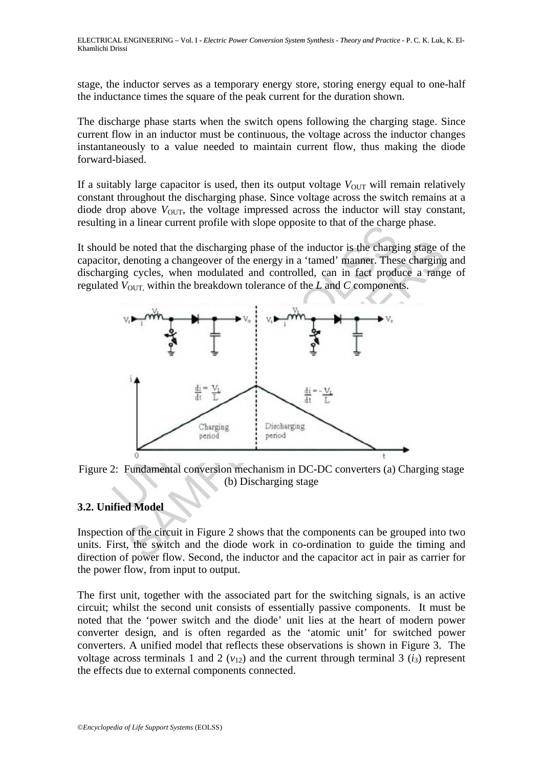stage, the inductor serves as a temporary energy store, storing energy equal to one-half the inductance times the square of the peak current for the duration shown.

The discharge phase starts when the switch opens following the charging stage. Since current flow in an inductor must be continuous, the voltage across the inductor changes instantaneously to a value needed to maintain current flow, thus making the diode forward-biased.

If a suitably large capacitor is used, then its output voltage  $V_{\text{OUT}}$  will remain relatively constant throughout the discharging phase. Since voltage across the switch remains at a diode drop above  $V_{\text{OUT}}$ , the voltage impressed across the inductor will stay constant, resulting in a linear current profile with slope opposite to that of the charge phase.

It should be noted that the discharging phase of the inductor is the charging stage of the capacitor, denoting a changeover of the energy in a 'tamed' manner. These charging and discharging cycles, when modulated and controlled, can in fact produce a range of regulated  $V_{\text{OUT}}$  within the breakdown tolerance of the *L* and *C* components.



Figure 2: Fundamental conversion mechanism in DC-DC converters (a) Charging stage (b) Discharging stage

## **3.2. Unified Model**

Inspection of the circuit in Figure 2 shows that the components can be grouped into two units. First, the switch and the diode work in co-ordination to guide the timing and direction of power flow. Second, the inductor and the capacitor act in pair as carrier for the power flow, from input to output.

The first unit, together with the associated part for the switching signals, is an active circuit; whilst the second unit consists of essentially passive components. It must be noted that the 'power switch and the diode' unit lies at the heart of modern power converter design, and is often regarded as the 'atomic unit' for switched power converters. A unified model that reflects these observations is shown in Figure 3. The voltage across terminals 1 and 2  $(v_{12})$  and the current through terminal 3  $(i_3)$  represent the effects due to external components connected.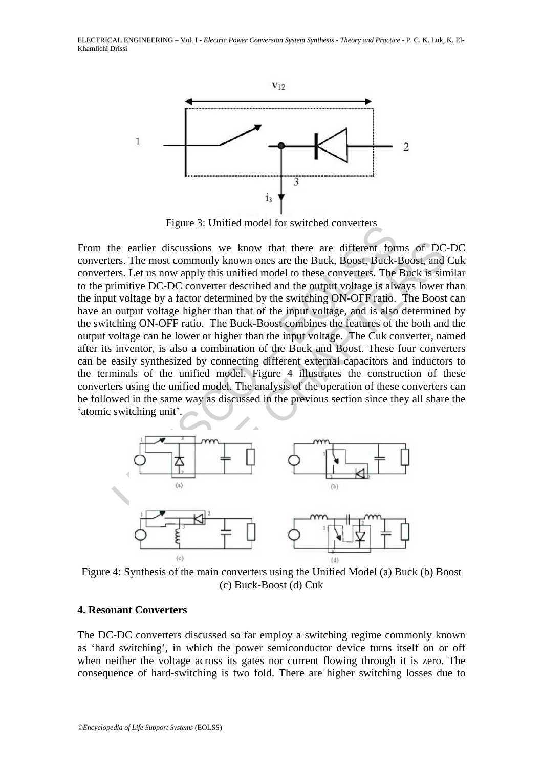ELECTRICAL ENGINEERING – Vol. I - *Electric Power Conversion System Synthesis - Theory and Practice* - P. C. K. Luk, K. El-Khamlichi Drissi



Figure 3: Unified model for switched converters

Figure 5. Omited model for switched converters<br>the earlier discussions we know that there are different formers. The most commonly known ones are the Buck, Boost, Buck-I<br>ers. Let us now apply this unified model to these c earlier discussions we know that there are different forms of DC<br>The most commonly known ones are the Buck, Boost, Buck-Boost, and<br>Let us now apply this unified model to these converters. The Buck is sint<br>ditive DC-DC conv From the earlier discussions we know that there are different forms of DC-DC converters. The most commonly known ones are the Buck, Boost, Buck-Boost, and Cuk converters. Let us now apply this unified model to these converters. The Buck is similar to the primitive DC-DC converter described and the output voltage is always lower than the input voltage by a factor determined by the switching ON-OFF ratio. The Boost can have an output voltage higher than that of the input voltage, and is also determined by the switching ON-OFF ratio. The Buck-Boost combines the features of the both and the output voltage can be lower or higher than the input voltage. The Cuk converter, named after its inventor, is also a combination of the Buck and Boost. These four converters can be easily synthesized by connecting different external capacitors and inductors to the terminals of the unified model. Figure 4 illustrates the construction of these converters using the unified model. The analysis of the operation of these converters can be followed in the same way as discussed in the previous section since they all share the 'atomic switching unit'.



Figure 4: Synthesis of the main converters using the Unified Model (a) Buck (b) Boost (c) Buck-Boost (d) Cuk

### **4. Resonant Converters**

The DC-DC converters discussed so far employ a switching regime commonly known as 'hard switching', in which the power semiconductor device turns itself on or off when neither the voltage across its gates nor current flowing through it is zero. The consequence of hard-switching is two fold. There are higher switching losses due to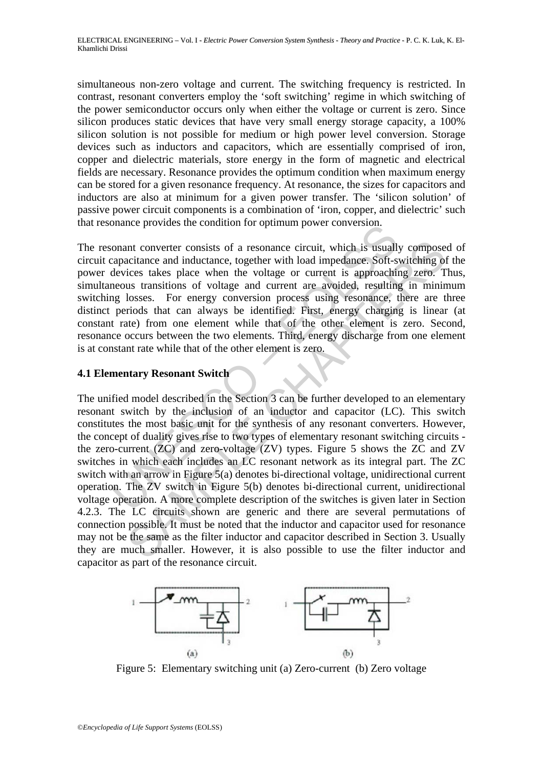simultaneous non-zero voltage and current. The switching frequency is restricted. In contrast, resonant converters employ the 'soft switching' regime in which switching of the power semiconductor occurs only when either the voltage or current is zero. Since silicon produces static devices that have very small energy storage capacity, a 100% silicon solution is not possible for medium or high power level conversion. Storage devices such as inductors and capacitors, which are essentially comprised of iron, copper and dielectric materials, store energy in the form of magnetic and electrical fields are necessary. Resonance provides the optimum condition when maximum energy can be stored for a given resonance frequency. At resonance, the sizes for capacitors and inductors are also at minimum for a given power transfer. The 'silicon solution' of passive power circuit components is a combination of 'iron, copper, and dielectric' such that resonance provides the condition for optimum power conversion.

The resonant converter consists of a resonance circuit, which is usually composed of circuit capacitance and inductance, together with load impedance. Soft-switching of the power devices takes place when the voltage or current is approaching zero. Thus, simultaneous transitions of voltage and current are avoided, resulting in minimum switching losses. For energy conversion process using resonance, there are three distinct periods that can always be identified. First, energy charging is linear (at constant rate) from one element while that of the other element is zero. Second, resonance occurs between the two elements. Third, energy discharge from one element is at constant rate while that of the other element is zero.

## **4.1 Elementary Resonant Switch**

branche provides the contained in or optimian power conversion.<br>
conant converter consists of a resonance circuit, which is usually<br>
capacitance and inductance, together with load impedance. Soft-s<br>
devices takes place whe not converter consists of a resonance circuit, which is usually compose<br>catiance and inductance, together with load impedance. Soft-switching of<br>ices takes place when the voltage or current is approaching zero. T<br>us transi The unified model described in the Section 3 can be further developed to an elementary resonant switch by the inclusion of an inductor and capacitor (LC). This switch constitutes the most basic unit for the synthesis of any resonant converters. However, the concept of duality gives rise to two types of elementary resonant switching circuits the zero-current (ZC) and zero-voltage (ZV) types. Figure 5 shows the ZC and ZV switches in which each includes an LC resonant network as its integral part. The ZC switch with an arrow in Figure 5(a) denotes bi-directional voltage, unidirectional current operation. The ZV switch in Figure 5(b) denotes bi-directional current, unidirectional voltage operation. A more complete description of the switches is given later in Section 4.2.3. The LC circuits shown are generic and there are several permutations of connection possible. It must be noted that the inductor and capacitor used for resonance may not be the same as the filter inductor and capacitor described in Section 3. Usually they are much smaller. However, it is also possible to use the filter inductor and capacitor as part of the resonance circuit.



Figure 5: Elementary switching unit (a) Zero-current (b) Zero voltage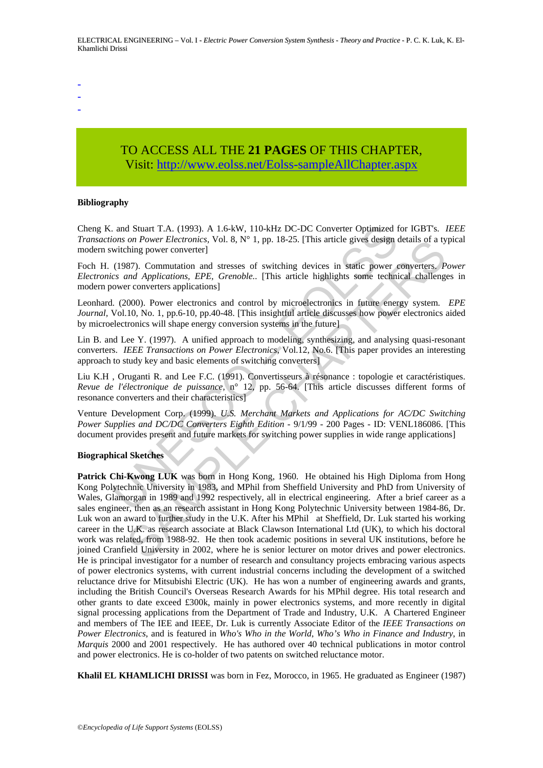- -
- -

# TO ACCESS ALL THE **21 PAGES** OF THIS CHAPTER, Visi[t: http://www.eolss.net/Eolss-sampleAllChapter.aspx](https://www.eolss.net/ebooklib/sc_cart.aspx?File=E6-39A-01-05)

#### **Bibliography**

Cheng K. and Stuart T.A. (1993). A 1.6-kW, 110-kHz DC-DC Converter Optimized for IGBT's. *IEEE Transactions on Power Electronics,* Vol. 8, N° 1, pp. 18-25. [This article gives design details of a typical modern switching power converter]

Foch H. (1987). Commutation and stresses of switching devices in static power converters. *Power Electronics and Applications, EPE, Grenoble.*. [This article highlights some technical challenges in modern power converters applications]

Leonhard. (2000). Power electronics and control by microelectronics in future energy system. *EPE Journal,* Vol.10, No. 1, pp.6-10, pp.40-48. [This insightful article discusses how power electronics aided by microelectronics will shape energy conversion systems in the future]

Lin B. and Lee Y. (1997). A unified approach to modeling, synthesizing, and analysing quasi-resonant converters. *IEEE Transactions on Power Electronics,* Vol.12, No.6. [This paper provides an interesting approach to study key and basic elements of switching converters]

Liu K.H , Oruganti R. and Lee F.C. (1991). Convertisseurs à résonance : topologie et caractéristiques. *Revue de l'électronique de puissance,* n° 12, pp. 56-64. [This article discusses different forms of resonance converters and their characteristics]

Venture Development Corp. (1999). *U.S. Merchant Markets and Applications for AC/DC Switching Power Supplies and DC/DC Converters Eighth Edition* - 9/1/99 - 200 Pages - ID: VENL186086. [This document provides present and future markets for switching power supplies in wide range applications]

#### **Biographical Sketches**

. and Stuart T.A. (1993). A 1.6-kW, 110-kHz DC-DC Converter Optimized for<br>nors on Power Electronics, Vol. 8, N° 1, pp. 18-25. [This article gives design of<br>witching power converter]<br>(1987). Commutation and stresses of swi on Power Electronics, Vol. 8, N° 1, pp. 18-25. [This article gives design details of a ty<br>on Power converter]. ST). Commutation and stresses of switching devices in static power converters, *P*<br>s7). Commutation and stress **Patrick Chi-Kwong LUK** was born in Hong Kong, 1960. He obtained his High Diploma from Hong Kong Polytechnic University in 1983, and MPhil from Sheffield University and PhD from University of Wales, Glamorgan in 1989 and 1992 respectively, all in electrical engineering. After a brief career as a sales engineer, then as an research assistant in Hong Kong Polytechnic University between 1984-86, Dr. Luk won an award to further study in the U.K. After his MPhil at Sheffield, Dr. Luk started his working career in the U.K. as research associate at Black Clawson International Ltd (UK), to which his doctoral work was related, from 1988-92. He then took academic positions in several UK institutions, before he joined Cranfield University in 2002, where he is senior lecturer on motor drives and power electronics. He is principal investigator for a number of research and consultancy projects embracing various aspects of power electronics systems, with current industrial concerns including the development of a switched reluctance drive for Mitsubishi Electric (UK). He has won a number of engineering awards and grants, including the British Council's Overseas Research Awards for his MPhil degree. His total research and other grants to date exceed £300k, mainly in power electronics systems, and more recently in digital signal processing applications from the Department of Trade and Industry, U.K. A Chartered Engineer and members of The IEE and IEEE, Dr. Luk is currently Associate Editor of the *IEEE Transactions on Power Electronics*, and is featured in *Who's Who in the World*, *Who's Who in Finance and Industry*, in *Marquis* 2000 and 2001 respectively. He has authored over 40 technical publications in motor control and power electronics. He is co-holder of two patents on switched reluctance motor.

**Khalil EL KHAMLICHI DRISSI** was born in Fez, Morocco, in 1965. He graduated as Engineer (1987)